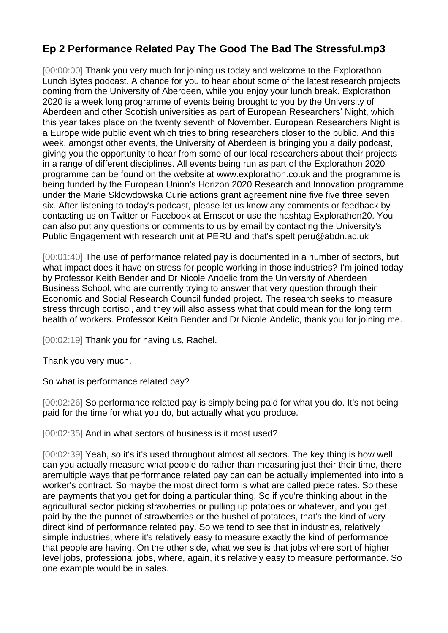## **Ep 2 Performance Related Pay The Good The Bad The Stressful.mp3**

[00:00:00] Thank you very much for joining us today and welcome to the Explorathon Lunch Bytes podcast. A chance for you to hear about some of the latest research projects coming from the University of Aberdeen, while you enjoy your lunch break. Explorathon 2020 is a week long programme of events being brought to you by the University of Aberdeen and other Scottish universities as part of European Researchers' Night, which this year takes place on the twenty seventh of November. European Researchers Night is a Europe wide public event which tries to bring researchers closer to the public. And this week, amongst other events, the University of Aberdeen is bringing you a daily podcast, giving you the opportunity to hear from some of our local researchers about their projects in a range of different disciplines. All events being run as part of the Explorathon 2020 programme can be found on the website at www.explorathon.co.uk and the programme is being funded by the European Union's Horizon 2020 Research and Innovation programme under the Marie Sklowdowska Curie actions grant agreement nine five five three seven six. After listening to today's podcast, please let us know any comments or feedback by contacting us on Twitter or Facebook at Ernscot or use the hashtag Explorathon20. You can also put any questions or comments to us by email by contacting the University's Public Engagement with research unit at PERU and that's spelt peru@abdn.ac.uk

[00:01:40] The use of performance related pay is documented in a number of sectors, but what impact does it have on stress for people working in those industries? I'm joined today by Professor Keith Bender and Dr Nicole Andelic from the University of Aberdeen Business School, who are currently trying to answer that very question through their Economic and Social Research Council funded project. The research seeks to measure stress through cortisol, and they will also assess what that could mean for the long term health of workers. Professor Keith Bender and Dr Nicole Andelic, thank you for joining me.

[00:02:19] Thank you for having us, Rachel.

Thank you very much.

So what is performance related pay?

[00:02:26] So performance related pay is simply being paid for what you do. It's not being paid for the time for what you do, but actually what you produce.

[00:02:35] And in what sectors of business is it most used?

[00:02:39] Yeah, so it's it's used throughout almost all sectors. The key thing is how well can you actually measure what people do rather than measuring just their their time, there aremultiple ways that performance related pay can can be actually implemented into into a worker's contract. So maybe the most direct form is what are called piece rates. So these are payments that you get for doing a particular thing. So if you're thinking about in the agricultural sector picking strawberries or pulling up potatoes or whatever, and you get paid by the the punnet of strawberries or the bushel of potatoes, that's the kind of very direct kind of performance related pay. So we tend to see that in industries, relatively simple industries, where it's relatively easy to measure exactly the kind of performance that people are having. On the other side, what we see is that jobs where sort of higher level jobs, professional jobs, where, again, it's relatively easy to measure performance. So one example would be in sales.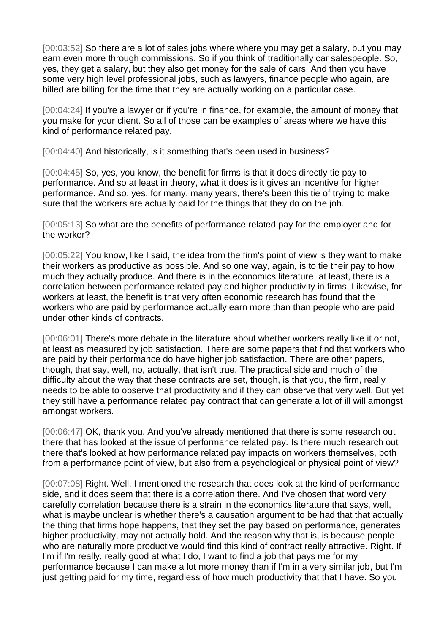[00:03:52] So there are a lot of sales jobs where where you may get a salary, but you may earn even more through commissions. So if you think of traditionally car salespeople. So, yes, they get a salary, but they also get money for the sale of cars. And then you have some very high level professional jobs, such as lawyers, finance people who again, are billed are billing for the time that they are actually working on a particular case.

[00:04:24] If you're a lawyer or if you're in finance, for example, the amount of money that you make for your client. So all of those can be examples of areas where we have this kind of performance related pay.

[00:04:40] And historically, is it something that's been used in business?

[00:04:45] So, yes, you know, the benefit for firms is that it does directly tie pay to performance. And so at least in theory, what it does is it gives an incentive for higher performance. And so, yes, for many, many years, there's been this tie of trying to make sure that the workers are actually paid for the things that they do on the job.

[00:05:13] So what are the benefits of performance related pay for the employer and for the worker?

[00:05:22] You know, like I said, the idea from the firm's point of view is they want to make their workers as productive as possible. And so one way, again, is to tie their pay to how much they actually produce. And there is in the economics literature, at least, there is a correlation between performance related pay and higher productivity in firms. Likewise, for workers at least, the benefit is that very often economic research has found that the workers who are paid by performance actually earn more than than people who are paid under other kinds of contracts.

[00:06:01] There's more debate in the literature about whether workers really like it or not, at least as measured by job satisfaction. There are some papers that find that workers who are paid by their performance do have higher job satisfaction. There are other papers, though, that say, well, no, actually, that isn't true. The practical side and much of the difficulty about the way that these contracts are set, though, is that you, the firm, really needs to be able to observe that productivity and if they can observe that very well. But yet they still have a performance related pay contract that can generate a lot of ill will amongst amongst workers.

[00:06:47] OK, thank you. And you've already mentioned that there is some research out there that has looked at the issue of performance related pay. Is there much research out there that's looked at how performance related pay impacts on workers themselves, both from a performance point of view, but also from a psychological or physical point of view?

[00:07:08] Right. Well, I mentioned the research that does look at the kind of performance side, and it does seem that there is a correlation there. And I've chosen that word very carefully correlation because there is a strain in the economics literature that says, well, what is maybe unclear is whether there's a causation argument to be had that that actually the thing that firms hope happens, that they set the pay based on performance, generates higher productivity, may not actually hold. And the reason why that is, is because people who are naturally more productive would find this kind of contract really attractive. Right. If I'm if I'm really, really good at what I do, I want to find a job that pays me for my performance because I can make a lot more money than if I'm in a very similar job, but I'm just getting paid for my time, regardless of how much productivity that that I have. So you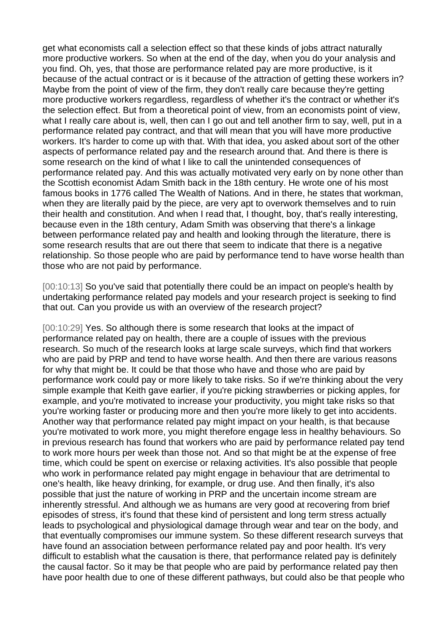get what economists call a selection effect so that these kinds of jobs attract naturally more productive workers. So when at the end of the day, when you do your analysis and you find. Oh, yes, that those are performance related pay are more productive, is it because of the actual contract or is it because of the attraction of getting these workers in? Maybe from the point of view of the firm, they don't really care because they're getting more productive workers regardless, regardless of whether it's the contract or whether it's the selection effect. But from a theoretical point of view, from an economists point of view, what I really care about is, well, then can I go out and tell another firm to say, well, put in a performance related pay contract, and that will mean that you will have more productive workers. It's harder to come up with that. With that idea, you asked about sort of the other aspects of performance related pay and the research around that. And there is there is some research on the kind of what I like to call the unintended consequences of performance related pay. And this was actually motivated very early on by none other than the Scottish economist Adam Smith back in the 18th century. He wrote one of his most famous books in 1776 called The Wealth of Nations. And in there, he states that workman, when they are literally paid by the piece, are very apt to overwork themselves and to ruin their health and constitution. And when I read that, I thought, boy, that's really interesting, because even in the 18th century, Adam Smith was observing that there's a linkage between performance related pay and health and looking through the literature, there is some research results that are out there that seem to indicate that there is a negative relationship. So those people who are paid by performance tend to have worse health than those who are not paid by performance.

[00:10:13] So you've said that potentially there could be an impact on people's health by undertaking performance related pay models and your research project is seeking to find that out. Can you provide us with an overview of the research project?

[00:10:29] Yes. So although there is some research that looks at the impact of performance related pay on health, there are a couple of issues with the previous research. So much of the research looks at large scale surveys, which find that workers who are paid by PRP and tend to have worse health. And then there are various reasons for why that might be. It could be that those who have and those who are paid by performance work could pay or more likely to take risks. So if we're thinking about the very simple example that Keith gave earlier, if you're picking strawberries or picking apples, for example, and you're motivated to increase your productivity, you might take risks so that you're working faster or producing more and then you're more likely to get into accidents. Another way that performance related pay might impact on your health, is that because you're motivated to work more, you might therefore engage less in healthy behaviours. So in previous research has found that workers who are paid by performance related pay tend to work more hours per week than those not. And so that might be at the expense of free time, which could be spent on exercise or relaxing activities. It's also possible that people who work in performance related pay might engage in behaviour that are detrimental to one's health, like heavy drinking, for example, or drug use. And then finally, it's also possible that just the nature of working in PRP and the uncertain income stream are inherently stressful. And although we as humans are very good at recovering from brief episodes of stress, it's found that these kind of persistent and long term stress actually leads to psychological and physiological damage through wear and tear on the body, and that eventually compromises our immune system. So these different research surveys that have found an association between performance related pay and poor health. It's very difficult to establish what the causation is there, that performance related pay is definitely the causal factor. So it may be that people who are paid by performance related pay then have poor health due to one of these different pathways, but could also be that people who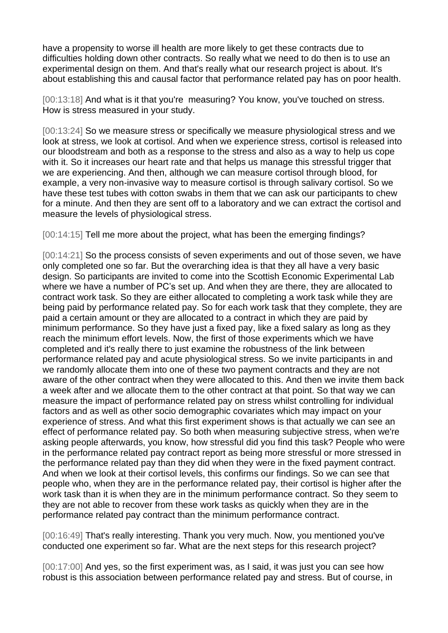have a propensity to worse ill health are more likely to get these contracts due to difficulties holding down other contracts. So really what we need to do then is to use an experimental design on them. And that's really what our research project is about. It's about establishing this and causal factor that performance related pay has on poor health.

[00:13:18] And what is it that you're measuring? You know, you've touched on stress. How is stress measured in your study.

[00:13:24] So we measure stress or specifically we measure physiological stress and we look at stress, we look at cortisol. And when we experience stress, cortisol is released into our bloodstream and both as a response to the stress and also as a way to help us cope with it. So it increases our heart rate and that helps us manage this stressful trigger that we are experiencing. And then, although we can measure cortisol through blood, for example, a very non-invasive way to measure cortisol is through salivary cortisol. So we have these test tubes with cotton swabs in them that we can ask our participants to chew for a minute. And then they are sent off to a laboratory and we can extract the cortisol and measure the levels of physiological stress.

[00:14:15] Tell me more about the project, what has been the emerging findings?

[00:14:21] So the process consists of seven experiments and out of those seven, we have only completed one so far. But the overarching idea is that they all have a very basic design. So participants are invited to come into the Scottish Economic Experimental Lab where we have a number of PC's set up. And when they are there, they are allocated to contract work task. So they are either allocated to completing a work task while they are being paid by performance related pay. So for each work task that they complete, they are paid a certain amount or they are allocated to a contract in which they are paid by minimum performance. So they have just a fixed pay, like a fixed salary as long as they reach the minimum effort levels. Now, the first of those experiments which we have completed and it's really there to just examine the robustness of the link between performance related pay and acute physiological stress. So we invite participants in and we randomly allocate them into one of these two payment contracts and they are not aware of the other contract when they were allocated to this. And then we invite them back a week after and we allocate them to the other contract at that point. So that way we can measure the impact of performance related pay on stress whilst controlling for individual factors and as well as other socio demographic covariates which may impact on your experience of stress. And what this first experiment shows is that actually we can see an effect of performance related pay. So both when measuring subjective stress, when we're asking people afterwards, you know, how stressful did you find this task? People who were in the performance related pay contract report as being more stressful or more stressed in the performance related pay than they did when they were in the fixed payment contract. And when we look at their cortisol levels, this confirms our findings. So we can see that people who, when they are in the performance related pay, their cortisol is higher after the work task than it is when they are in the minimum performance contract. So they seem to they are not able to recover from these work tasks as quickly when they are in the performance related pay contract than the minimum performance contract.

[00:16:49] That's really interesting. Thank you very much. Now, you mentioned you've conducted one experiment so far. What are the next steps for this research project?

[00:17:00] And yes, so the first experiment was, as I said, it was just you can see how robust is this association between performance related pay and stress. But of course, in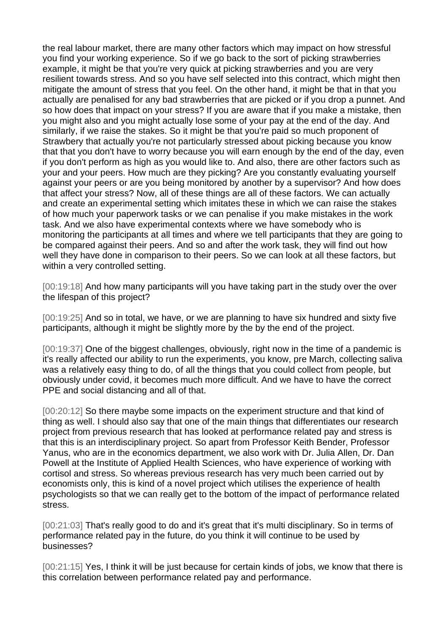the real labour market, there are many other factors which may impact on how stressful you find your working experience. So if we go back to the sort of picking strawberries example, it might be that you're very quick at picking strawberries and you are very resilient towards stress. And so you have self selected into this contract, which might then mitigate the amount of stress that you feel. On the other hand, it might be that in that you actually are penalised for any bad strawberries that are picked or if you drop a punnet. And so how does that impact on your stress? If you are aware that if you make a mistake, then you might also and you might actually lose some of your pay at the end of the day. And similarly, if we raise the stakes. So it might be that you're paid so much proponent of Strawbery that actually you're not particularly stressed about picking because you know that that you don't have to worry because you will earn enough by the end of the day, even if you don't perform as high as you would like to. And also, there are other factors such as your and your peers. How much are they picking? Are you constantly evaluating yourself against your peers or are you being monitored by another by a supervisor? And how does that affect your stress? Now, all of these things are all of these factors. We can actually and create an experimental setting which imitates these in which we can raise the stakes of how much your paperwork tasks or we can penalise if you make mistakes in the work task. And we also have experimental contexts where we have somebody who is monitoring the participants at all times and where we tell participants that they are going to be compared against their peers. And so and after the work task, they will find out how well they have done in comparison to their peers. So we can look at all these factors, but within a very controlled setting.

[00:19:18] And how many participants will you have taking part in the study over the over the lifespan of this project?

[00:19:25] And so in total, we have, or we are planning to have six hundred and sixty five participants, although it might be slightly more by the by the end of the project.

[00:19:37] One of the biggest challenges, obviously, right now in the time of a pandemic is it's really affected our ability to run the experiments, you know, pre March, collecting saliva was a relatively easy thing to do, of all the things that you could collect from people, but obviously under covid, it becomes much more difficult. And we have to have the correct PPE and social distancing and all of that.

[00:20:12] So there maybe some impacts on the experiment structure and that kind of thing as well. I should also say that one of the main things that differentiates our research project from previous research that has looked at performance related pay and stress is that this is an interdisciplinary project. So apart from Professor Keith Bender, Professor Yanus, who are in the economics department, we also work with Dr. Julia Allen, Dr. Dan Powell at the Institute of Applied Health Sciences, who have experience of working with cortisol and stress. So whereas previous research has very much been carried out by economists only, this is kind of a novel project which utilises the experience of health psychologists so that we can really get to the bottom of the impact of performance related stress.

[00:21:03] That's really good to do and it's great that it's multi disciplinary. So in terms of performance related pay in the future, do you think it will continue to be used by businesses?

[00:21:15] Yes, I think it will be just because for certain kinds of jobs, we know that there is this correlation between performance related pay and performance.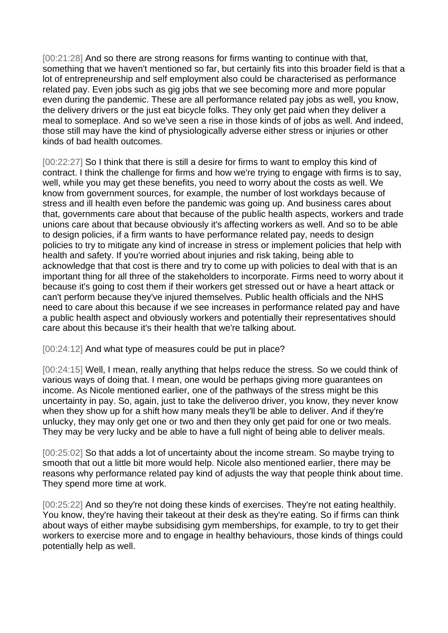[00:21:28] And so there are strong reasons for firms wanting to continue with that, something that we haven't mentioned so far, but certainly fits into this broader field is that a lot of entrepreneurship and self employment also could be characterised as performance related pay. Even jobs such as gig jobs that we see becoming more and more popular even during the pandemic. These are all performance related pay jobs as well, you know, the delivery drivers or the just eat bicycle folks. They only get paid when they deliver a meal to someplace. And so we've seen a rise in those kinds of of jobs as well. And indeed, those still may have the kind of physiologically adverse either stress or injuries or other kinds of bad health outcomes.

[00:22:27] So I think that there is still a desire for firms to want to employ this kind of contract. I think the challenge for firms and how we're trying to engage with firms is to say, well, while you may get these benefits, you need to worry about the costs as well. We know from government sources, for example, the number of lost workdays because of stress and ill health even before the pandemic was going up. And business cares about that, governments care about that because of the public health aspects, workers and trade unions care about that because obviously it's affecting workers as well. And so to be able to design policies, if a firm wants to have performance related pay, needs to design policies to try to mitigate any kind of increase in stress or implement policies that help with health and safety. If you're worried about injuries and risk taking, being able to acknowledge that that cost is there and try to come up with policies to deal with that is an important thing for all three of the stakeholders to incorporate. Firms need to worry about it because it's going to cost them if their workers get stressed out or have a heart attack or can't perform because they've injured themselves. Public health officials and the NHS need to care about this because if we see increases in performance related pay and have a public health aspect and obviously workers and potentially their representatives should care about this because it's their health that we're talking about.

[00:24:12] And what type of measures could be put in place?

[00:24:15] Well, I mean, really anything that helps reduce the stress. So we could think of various ways of doing that. I mean, one would be perhaps giving more guarantees on income. As Nicole mentioned earlier, one of the pathways of the stress might be this uncertainty in pay. So, again, just to take the deliveroo driver, you know, they never know when they show up for a shift how many meals they'll be able to deliver. And if they're unlucky, they may only get one or two and then they only get paid for one or two meals. They may be very lucky and be able to have a full night of being able to deliver meals.

[00:25:02] So that adds a lot of uncertainty about the income stream. So maybe trying to smooth that out a little bit more would help. Nicole also mentioned earlier, there may be reasons why performance related pay kind of adjusts the way that people think about time. They spend more time at work.

[00:25:22] And so they're not doing these kinds of exercises. They're not eating healthily. You know, they're having their takeout at their desk as they're eating. So if firms can think about ways of either maybe subsidising gym memberships, for example, to try to get their workers to exercise more and to engage in healthy behaviours, those kinds of things could potentially help as well.